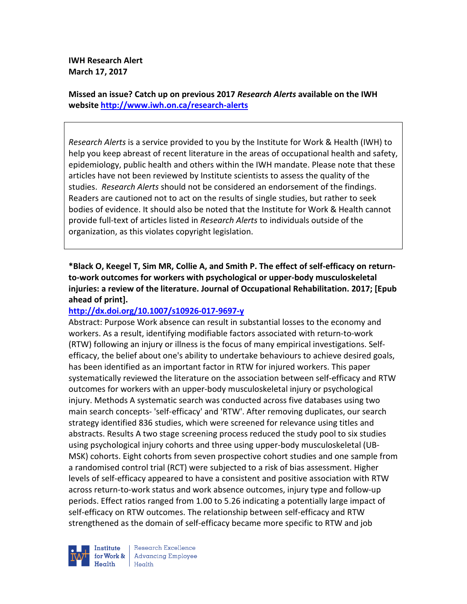**IWH Research Alert March 17, 2017** 

**Missed an issue? Catch up on previous 2017** *Research Alerts* **available on the IWH website http://www.iwh.on.ca/research-alerts**

*Research Alerts* is a service provided to you by the Institute for Work & Health (IWH) to help you keep abreast of recent literature in the areas of occupational health and safety, epidemiology, public health and others within the IWH mandate. Please note that these articles have not been reviewed by Institute scientists to assess the quality of the studies. *Research Alerts* should not be considered an endorsement of the findings. Readers are cautioned not to act on the results of single studies, but rather to seek bodies of evidence. It should also be noted that the Institute for Work & Health cannot provide full-text of articles listed in *Research Alerts* to individuals outside of the organization, as this violates copyright legislation.

**\*Black O, Keegel T, Sim MR, Collie A, and Smith P. The effect of self-efficacy on returnto-work outcomes for workers with psychological or upper-body musculoskeletal injuries: a review of the literature. Journal of Occupational Rehabilitation. 2017; [Epub ahead of print].** 

#### **http://dx.doi.org/10.1007/s10926-017-9697-y**

Abstract: Purpose Work absence can result in substantial losses to the economy and workers. As a result, identifying modifiable factors associated with return-to-work (RTW) following an injury or illness is the focus of many empirical investigations. Selfefficacy, the belief about one's ability to undertake behaviours to achieve desired goals, has been identified as an important factor in RTW for injured workers. This paper systematically reviewed the literature on the association between self-efficacy and RTW outcomes for workers with an upper-body musculoskeletal injury or psychological injury. Methods A systematic search was conducted across five databases using two main search concepts- 'self-efficacy' and 'RTW'. After removing duplicates, our search strategy identified 836 studies, which were screened for relevance using titles and abstracts. Results A two stage screening process reduced the study pool to six studies using psychological injury cohorts and three using upper-body musculoskeletal (UB-MSK) cohorts. Eight cohorts from seven prospective cohort studies and one sample from a randomised control trial (RCT) were subjected to a risk of bias assessment. Higher levels of self-efficacy appeared to have a consistent and positive association with RTW across return-to-work status and work absence outcomes, injury type and follow-up periods. Effect ratios ranged from 1.00 to 5.26 indicating a potentially large impact of self-efficacy on RTW outcomes. The relationship between self-efficacy and RTW strengthened as the domain of self-efficacy became more specific to RTW and job



Research Excellence **Advancing Employee** Health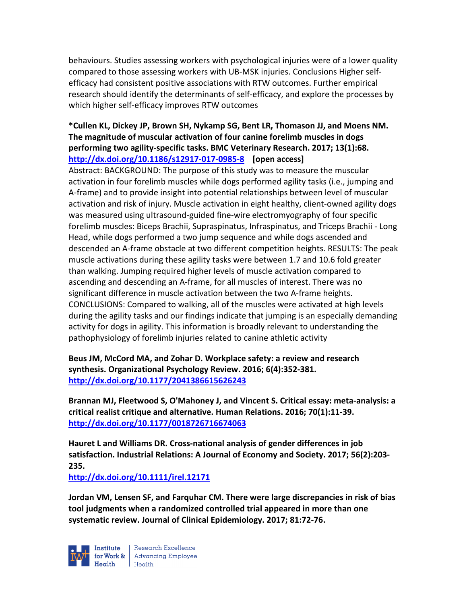behaviours. Studies assessing workers with psychological injuries were of a lower quality compared to those assessing workers with UB-MSK injuries. Conclusions Higher selfefficacy had consistent positive associations with RTW outcomes. Further empirical research should identify the determinants of self-efficacy, and explore the processes by which higher self-efficacy improves RTW outcomes

# **\*Cullen KL, Dickey JP, Brown SH, Nykamp SG, Bent LR, Thomason JJ, and Moens NM. The magnitude of muscular activation of four canine forelimb muscles in dogs performing two agility-specific tasks. BMC Veterinary Research. 2017; 13(1):68. http://dx.doi.org/10.1186/s12917-017-0985-8 [open access]**

Abstract: BACKGROUND: The purpose of this study was to measure the muscular activation in four forelimb muscles while dogs performed agility tasks (i.e., jumping and A-frame) and to provide insight into potential relationships between level of muscular activation and risk of injury. Muscle activation in eight healthy, client-owned agility dogs was measured using ultrasound-guided fine-wire electromyography of four specific forelimb muscles: Biceps Brachii, Supraspinatus, Infraspinatus, and Triceps Brachii - Long Head, while dogs performed a two jump sequence and while dogs ascended and descended an A-frame obstacle at two different competition heights. RESULTS: The peak muscle activations during these agility tasks were between 1.7 and 10.6 fold greater than walking. Jumping required higher levels of muscle activation compared to ascending and descending an A-frame, for all muscles of interest. There was no significant difference in muscle activation between the two A-frame heights. CONCLUSIONS: Compared to walking, all of the muscles were activated at high levels during the agility tasks and our findings indicate that jumping is an especially demanding activity for dogs in agility. This information is broadly relevant to understanding the pathophysiology of forelimb injuries related to canine athletic activity

**Beus JM, McCord MA, and Zohar D. Workplace safety: a review and research synthesis. Organizational Psychology Review. 2016; 6(4):352-381. http://dx.doi.org/10.1177/2041386615626243** 

**Brannan MJ, Fleetwood S, O'Mahoney J, and Vincent S. Critical essay: meta-analysis: a critical realist critique and alternative. Human Relations. 2016; 70(1):11-39. http://dx.doi.org/10.1177/0018726716674063** 

**Hauret L and Williams DR. Cross-national analysis of gender differences in job satisfaction. Industrial Relations: A Journal of Economy and Society. 2017; 56(2):203- 235.** 

**http://dx.doi.org/10.1111/irel.12171** 

**Jordan VM, Lensen SF, and Farquhar CM. There were large discrepancies in risk of bias tool judgments when a randomized controlled trial appeared in more than one systematic review. Journal of Clinical Epidemiology. 2017; 81:72-76.** 

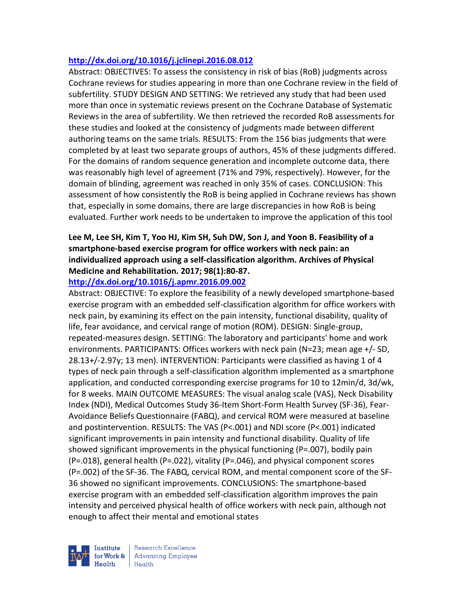### **http://dx.doi.org/10.1016/j.jclinepi.2016.08.012**

Abstract: OBJECTIVES: To assess the consistency in risk of bias (RoB) judgments across Cochrane reviews for studies appearing in more than one Cochrane review in the field of subfertility. STUDY DESIGN AND SETTING: We retrieved any study that had been used more than once in systematic reviews present on the Cochrane Database of Systematic Reviews in the area of subfertility. We then retrieved the recorded RoB assessments for these studies and looked at the consistency of judgments made between different authoring teams on the same trials. RESULTS: From the 156 bias judgments that were completed by at least two separate groups of authors, 45% of these judgments differed. For the domains of random sequence generation and incomplete outcome data, there was reasonably high level of agreement (71% and 79%, respectively). However, for the domain of blinding, agreement was reached in only 35% of cases. CONCLUSION: This assessment of how consistently the RoB is being applied in Cochrane reviews has shown that, especially in some domains, there are large discrepancies in how RoB is being evaluated. Further work needs to be undertaken to improve the application of this tool

# **Lee M, Lee SH, Kim T, Yoo HJ, Kim SH, Suh DW, Son J, and Yoon B. Feasibility of a smartphone-based exercise program for office workers with neck pain: an individualized approach using a self-classification algorithm. Archives of Physical Medicine and Rehabilitation. 2017; 98(1):80-87.**

### **http://dx.doi.org/10.1016/j.apmr.2016.09.002**

Abstract: OBJECTIVE: To explore the feasibility of a newly developed smartphone-based exercise program with an embedded self-classification algorithm for office workers with neck pain, by examining its effect on the pain intensity, functional disability, quality of life, fear avoidance, and cervical range of motion (ROM). DESIGN: Single-group, repeated-measures design. SETTING: The laboratory and participants' home and work environments. PARTICIPANTS: Offices workers with neck pain (N=23; mean age +/- SD, 28.13+/-2.97y; 13 men). INTERVENTION: Participants were classified as having 1 of 4 types of neck pain through a self-classification algorithm implemented as a smartphone application, and conducted corresponding exercise programs for 10 to 12min/d, 3d/wk, for 8 weeks. MAIN OUTCOME MEASURES: The visual analog scale (VAS), Neck Disability Index (NDI), Medical Outcomes Study 36-Item Short-Form Health Survey (SF-36), Fear-Avoidance Beliefs Questionnaire (FABQ), and cervical ROM were measured at baseline and postintervention. RESULTS: The VAS (P<.001) and NDI score (P<.001) indicated significant improvements in pain intensity and functional disability. Quality of life showed significant improvements in the physical functioning (P=.007), bodily pain (P=.018), general health (P=.022), vitality (P=.046), and physical component scores (P=.002) of the SF-36. The FABQ, cervical ROM, and mental component score of the SF-36 showed no significant improvements. CONCLUSIONS: The smartphone-based exercise program with an embedded self-classification algorithm improves the pain intensity and perceived physical health of office workers with neck pain, although not enough to affect their mental and emotional states

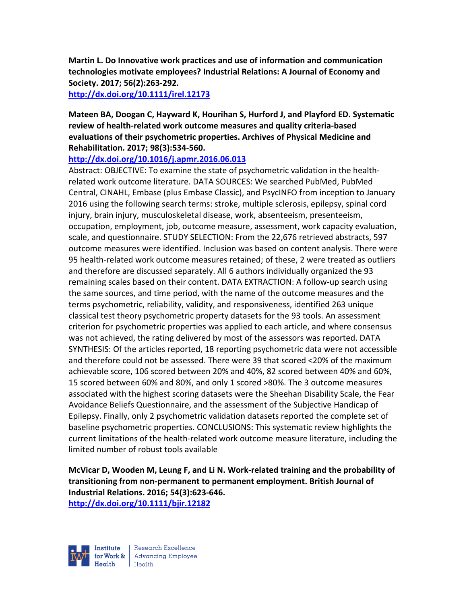**Martin L. Do Innovative work practices and use of information and communication technologies motivate employees? Industrial Relations: A Journal of Economy and Society. 2017; 56(2):263-292.** 

**http://dx.doi.org/10.1111/irel.12173** 

**Mateen BA, Doogan C, Hayward K, Hourihan S, Hurford J, and Playford ED. Systematic review of health-related work outcome measures and quality criteria-based evaluations of their psychometric properties. Archives of Physical Medicine and Rehabilitation. 2017; 98(3):534-560.** 

### **http://dx.doi.org/10.1016/j.apmr.2016.06.013**

Abstract: OBJECTIVE: To examine the state of psychometric validation in the healthrelated work outcome literature. DATA SOURCES: We searched PubMed, PubMed Central, CINAHL, Embase (plus Embase Classic), and PsycINFO from inception to January 2016 using the following search terms: stroke, multiple sclerosis, epilepsy, spinal cord injury, brain injury, musculoskeletal disease, work, absenteeism, presenteeism, occupation, employment, job, outcome measure, assessment, work capacity evaluation, scale, and questionnaire. STUDY SELECTION: From the 22,676 retrieved abstracts, 597 outcome measures were identified. Inclusion was based on content analysis. There were 95 health-related work outcome measures retained; of these, 2 were treated as outliers and therefore are discussed separately. All 6 authors individually organized the 93 remaining scales based on their content. DATA EXTRACTION: A follow-up search using the same sources, and time period, with the name of the outcome measures and the terms psychometric, reliability, validity, and responsiveness, identified 263 unique classical test theory psychometric property datasets for the 93 tools. An assessment criterion for psychometric properties was applied to each article, and where consensus was not achieved, the rating delivered by most of the assessors was reported. DATA SYNTHESIS: Of the articles reported, 18 reporting psychometric data were not accessible and therefore could not be assessed. There were 39 that scored <20% of the maximum achievable score, 106 scored between 20% and 40%, 82 scored between 40% and 60%, 15 scored between 60% and 80%, and only 1 scored >80%. The 3 outcome measures associated with the highest scoring datasets were the Sheehan Disability Scale, the Fear Avoidance Beliefs Questionnaire, and the assessment of the Subjective Handicap of Epilepsy. Finally, only 2 psychometric validation datasets reported the complete set of baseline psychometric properties. CONCLUSIONS: This systematic review highlights the current limitations of the health-related work outcome measure literature, including the limited number of robust tools available

**McVicar D, Wooden M, Leung F, and Li N. Work-related training and the probability of transitioning from non-permanent to permanent employment. British Journal of Industrial Relations. 2016; 54(3):623-646. http://dx.doi.org/10.1111/bjir.12182** 

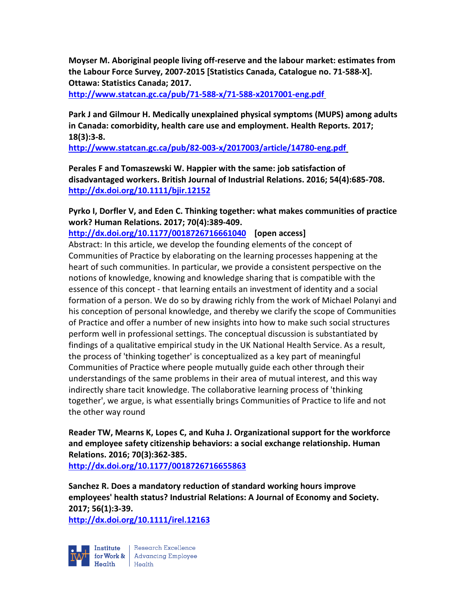**Moyser M. Aboriginal people living off-reserve and the labour market: estimates from the Labour Force Survey, 2007-2015 [Statistics Canada, Catalogue no. 71-588-X]. Ottawa: Statistics Canada; 2017.** 

**http://www.statcan.gc.ca/pub/71-588-x/71-588-x2017001-eng.pdf**

**Park J and Gilmour H. Medically unexplained physical symptoms (MUPS) among adults in Canada: comorbidity, health care use and employment. Health Reports. 2017; 18(3):3-8.** 

**http://www.statcan.gc.ca/pub/82-003-x/2017003/article/14780-eng.pdf**

**Perales F and Tomaszewski W. Happier with the same: job satisfaction of disadvantaged workers. British Journal of Industrial Relations. 2016; 54(4):685-708. http://dx.doi.org/10.1111/bjir.12152** 

**Pyrko I, Dorfler V, and Eden C. Thinking together: what makes communities of practice work? Human Relations. 2017; 70(4):389-409.** 

**http://dx.doi.org/10.1177/0018726716661040 [open access]**

Abstract: In this article, we develop the founding elements of the concept of Communities of Practice by elaborating on the learning processes happening at the heart of such communities. In particular, we provide a consistent perspective on the notions of knowledge, knowing and knowledge sharing that is compatible with the essence of this concept - that learning entails an investment of identity and a social formation of a person. We do so by drawing richly from the work of Michael Polanyi and his conception of personal knowledge, and thereby we clarify the scope of Communities of Practice and offer a number of new insights into how to make such social structures perform well in professional settings. The conceptual discussion is substantiated by findings of a qualitative empirical study in the UK National Health Service. As a result, the process of 'thinking together' is conceptualized as a key part of meaningful Communities of Practice where people mutually guide each other through their understandings of the same problems in their area of mutual interest, and this way indirectly share tacit knowledge. The collaborative learning process of 'thinking together', we argue, is what essentially brings Communities of Practice to life and not the other way round

**Reader TW, Mearns K, Lopes C, and Kuha J. Organizational support for the workforce and employee safety citizenship behaviors: a social exchange relationship. Human Relations. 2016; 70(3):362-385.** 

**http://dx.doi.org/10.1177/0018726716655863** 

**Sanchez R. Does a mandatory reduction of standard working hours improve employees' health status? Industrial Relations: A Journal of Economy and Society. 2017; 56(1):3-39.** 

**http://dx.doi.org/10.1111/irel.12163** 



Research Excellence for Work & Advancing Employee<br>Health Health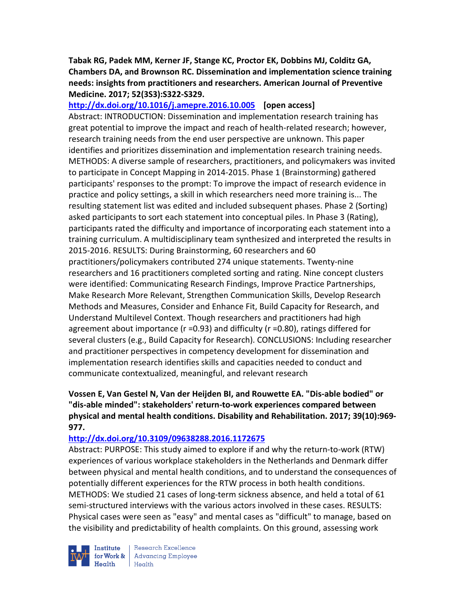**Tabak RG, Padek MM, Kerner JF, Stange KC, Proctor EK, Dobbins MJ, Colditz GA, Chambers DA, and Brownson RC. Dissemination and implementation science training needs: insights from practitioners and researchers. American Journal of Preventive Medicine. 2017; 52(3S3):S322-S329.** 

**http://dx.doi.org/10.1016/j.amepre.2016.10.005 [open access]**

Abstract: INTRODUCTION: Dissemination and implementation research training has great potential to improve the impact and reach of health-related research; however, research training needs from the end user perspective are unknown. This paper identifies and prioritizes dissemination and implementation research training needs. METHODS: A diverse sample of researchers, practitioners, and policymakers was invited to participate in Concept Mapping in 2014-2015. Phase 1 (Brainstorming) gathered participants' responses to the prompt: To improve the impact of research evidence in practice and policy settings, a skill in which researchers need more training is... The resulting statement list was edited and included subsequent phases. Phase 2 (Sorting) asked participants to sort each statement into conceptual piles. In Phase 3 (Rating), participants rated the difficulty and importance of incorporating each statement into a training curriculum. A multidisciplinary team synthesized and interpreted the results in 2015-2016. RESULTS: During Brainstorming, 60 researchers and 60 practitioners/policymakers contributed 274 unique statements. Twenty-nine researchers and 16 practitioners completed sorting and rating. Nine concept clusters were identified: Communicating Research Findings, Improve Practice Partnerships, Make Research More Relevant, Strengthen Communication Skills, Develop Research Methods and Measures, Consider and Enhance Fit, Build Capacity for Research, and Understand Multilevel Context. Though researchers and practitioners had high agreement about importance (r =0.93) and difficulty (r =0.80), ratings differed for several clusters (e.g., Build Capacity for Research). CONCLUSIONS: Including researcher and practitioner perspectives in competency development for dissemination and implementation research identifies skills and capacities needed to conduct and communicate contextualized, meaningful, and relevant research

# **Vossen E, Van Gestel N, Van der Heijden BI, and Rouwette EA. "Dis-able bodied" or "dis-able minded": stakeholders' return-to-work experiences compared between physical and mental health conditions. Disability and Rehabilitation. 2017; 39(10):969- 977.**

#### **http://dx.doi.org/10.3109/09638288.2016.1172675**

Abstract: PURPOSE: This study aimed to explore if and why the return-to-work (RTW) experiences of various workplace stakeholders in the Netherlands and Denmark differ between physical and mental health conditions, and to understand the consequences of potentially different experiences for the RTW process in both health conditions. METHODS: We studied 21 cases of long-term sickness absence, and held a total of 61 semi-structured interviews with the various actors involved in these cases. RESULTS: Physical cases were seen as "easy" and mental cases as "difficult" to manage, based on the visibility and predictability of health complaints. On this ground, assessing work



Research Excellence **Advancing Employee** Health